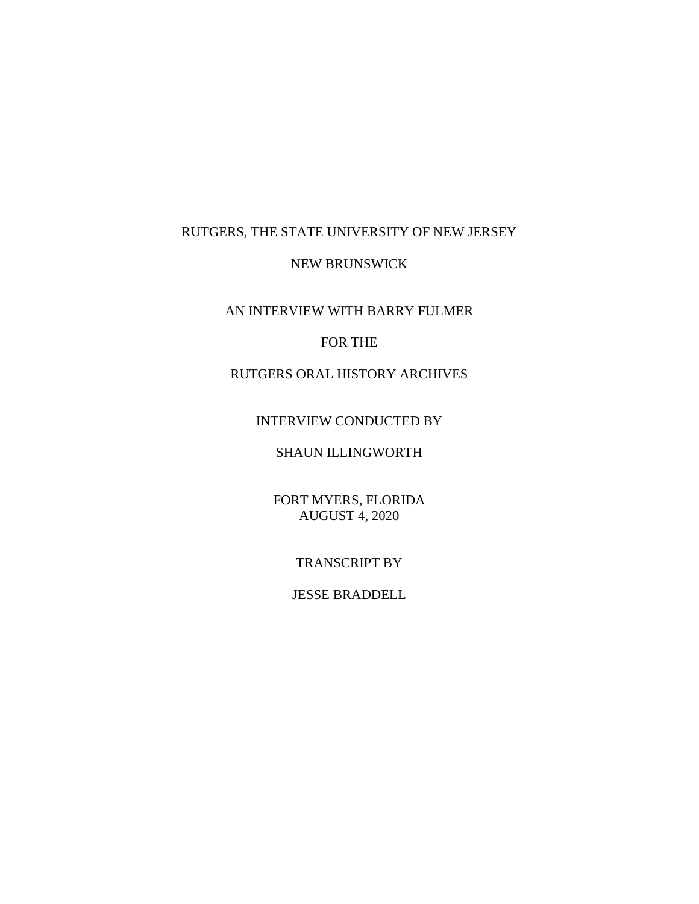# RUTGERS, THE STATE UNIVERSITY OF NEW JERSEY

# NEW BRUNSWICK

AN INTERVIEW WITH BARRY FULMER

# FOR THE

# RUTGERS ORAL HISTORY ARCHIVES

# INTERVIEW CONDUCTED BY

# SHAUN ILLINGWORTH

FORT MYERS, FLORIDA AUGUST 4, 2020

# TRANSCRIPT BY

# JESSE BRADDELL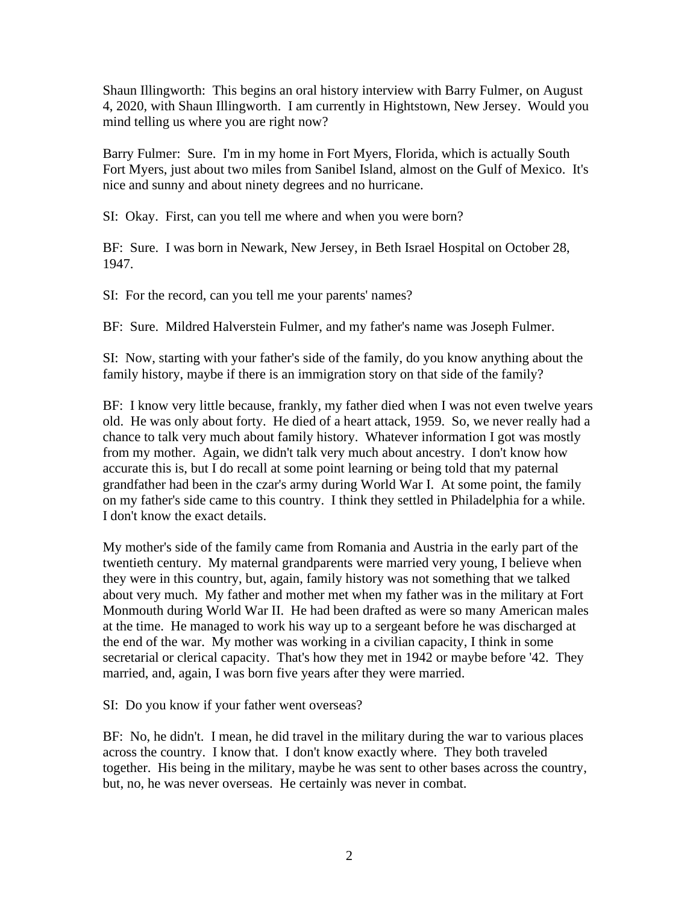Shaun Illingworth: This begins an oral history interview with Barry Fulmer, on August 4, 2020, with Shaun Illingworth. I am currently in Hightstown, New Jersey. Would you mind telling us where you are right now?

Barry Fulmer: Sure. I'm in my home in Fort Myers, Florida, which is actually South Fort Myers, just about two miles from Sanibel Island, almost on the Gulf of Mexico. It's nice and sunny and about ninety degrees and no hurricane.

SI: Okay. First, can you tell me where and when you were born?

BF: Sure. I was born in Newark, New Jersey, in Beth Israel Hospital on October 28, 1947.

SI: For the record, can you tell me your parents' names?

BF: Sure. Mildred Halverstein Fulmer, and my father's name was Joseph Fulmer.

SI: Now, starting with your father's side of the family, do you know anything about the family history, maybe if there is an immigration story on that side of the family?

BF: I know very little because, frankly, my father died when I was not even twelve years old. He was only about forty. He died of a heart attack, 1959. So, we never really had a chance to talk very much about family history. Whatever information I got was mostly from my mother. Again, we didn't talk very much about ancestry. I don't know how accurate this is, but I do recall at some point learning or being told that my paternal grandfather had been in the czar's army during World War I. At some point, the family on my father's side came to this country. I think they settled in Philadelphia for a while. I don't know the exact details.

My mother's side of the family came from Romania and Austria in the early part of the twentieth century. My maternal grandparents were married very young, I believe when they were in this country, but, again, family history was not something that we talked about very much. My father and mother met when my father was in the military at Fort Monmouth during World War II. He had been drafted as were so many American males at the time. He managed to work his way up to a sergeant before he was discharged at the end of the war. My mother was working in a civilian capacity, I think in some secretarial or clerical capacity. That's how they met in 1942 or maybe before '42. They married, and, again, I was born five years after they were married.

SI: Do you know if your father went overseas?

BF: No, he didn't. I mean, he did travel in the military during the war to various places across the country. I know that. I don't know exactly where. They both traveled together. His being in the military, maybe he was sent to other bases across the country, but, no, he was never overseas. He certainly was never in combat.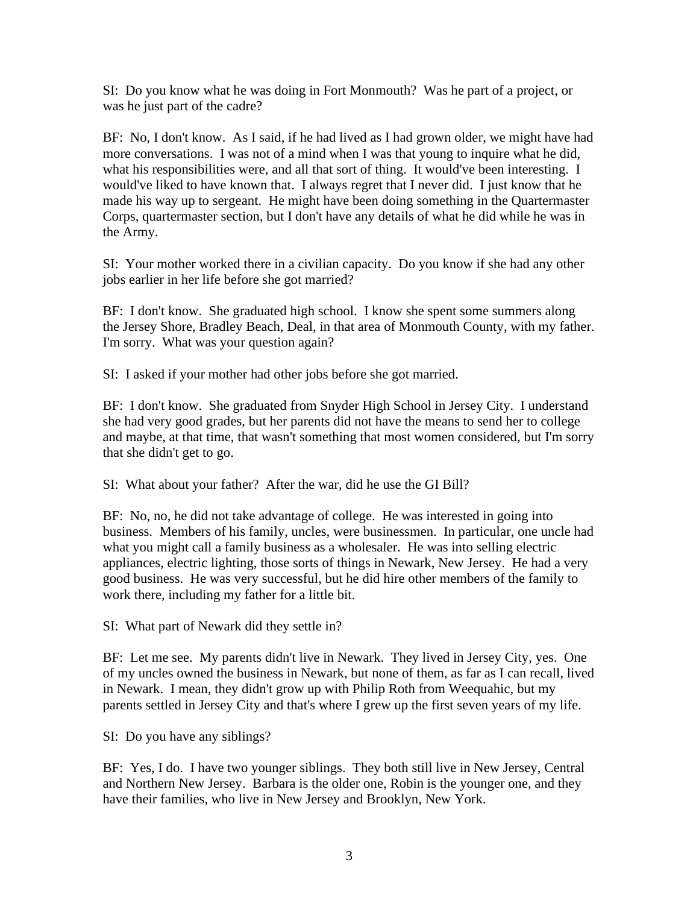SI: Do you know what he was doing in Fort Monmouth? Was he part of a project, or was he just part of the cadre?

BF: No, I don't know. As I said, if he had lived as I had grown older, we might have had more conversations. I was not of a mind when I was that young to inquire what he did, what his responsibilities were, and all that sort of thing. It would've been interesting. I would've liked to have known that. I always regret that I never did. I just know that he made his way up to sergeant. He might have been doing something in the Quartermaster Corps, quartermaster section, but I don't have any details of what he did while he was in the Army.

SI: Your mother worked there in a civilian capacity. Do you know if she had any other jobs earlier in her life before she got married?

BF: I don't know. She graduated high school. I know she spent some summers along the Jersey Shore, Bradley Beach, Deal, in that area of Monmouth County, with my father. I'm sorry. What was your question again?

SI: I asked if your mother had other jobs before she got married.

BF: I don't know. She graduated from Snyder High School in Jersey City. I understand she had very good grades, but her parents did not have the means to send her to college and maybe, at that time, that wasn't something that most women considered, but I'm sorry that she didn't get to go.

SI: What about your father? After the war, did he use the GI Bill?

BF: No, no, he did not take advantage of college. He was interested in going into business. Members of his family, uncles, were businessmen. In particular, one uncle had what you might call a family business as a wholesaler. He was into selling electric appliances, electric lighting, those sorts of things in Newark, New Jersey. He had a very good business. He was very successful, but he did hire other members of the family to work there, including my father for a little bit.

SI: What part of Newark did they settle in?

BF: Let me see. My parents didn't live in Newark. They lived in Jersey City, yes. One of my uncles owned the business in Newark, but none of them, as far as I can recall, lived in Newark. I mean, they didn't grow up with Philip Roth from Weequahic, but my parents settled in Jersey City and that's where I grew up the first seven years of my life.

SI: Do you have any siblings?

BF: Yes, I do. I have two younger siblings. They both still live in New Jersey, Central and Northern New Jersey. Barbara is the older one, Robin is the younger one, and they have their families, who live in New Jersey and Brooklyn, New York.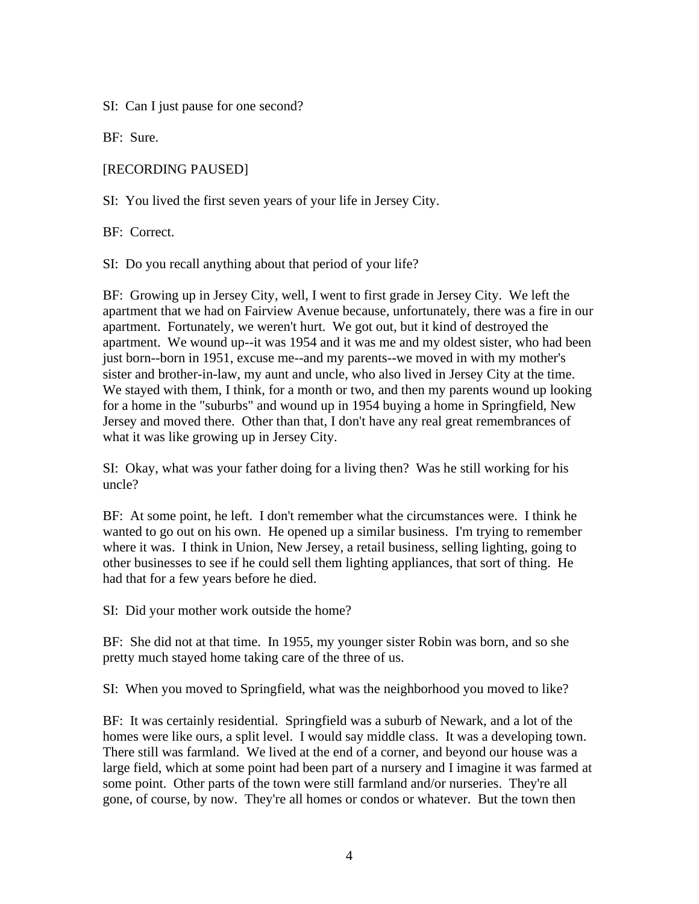SI: Can I just pause for one second?

BF: Sure.

[RECORDING PAUSED]

SI: You lived the first seven years of your life in Jersey City.

BF: Correct.

SI: Do you recall anything about that period of your life?

BF: Growing up in Jersey City, well, I went to first grade in Jersey City. We left the apartment that we had on Fairview Avenue because, unfortunately, there was a fire in our apartment. Fortunately, we weren't hurt. We got out, but it kind of destroyed the apartment. We wound up--it was 1954 and it was me and my oldest sister, who had been just born--born in 1951, excuse me--and my parents--we moved in with my mother's sister and brother-in-law, my aunt and uncle, who also lived in Jersey City at the time. We stayed with them, I think, for a month or two, and then my parents wound up looking for a home in the "suburbs" and wound up in 1954 buying a home in Springfield, New Jersey and moved there. Other than that, I don't have any real great remembrances of what it was like growing up in Jersey City.

SI: Okay, what was your father doing for a living then? Was he still working for his uncle?

BF: At some point, he left. I don't remember what the circumstances were. I think he wanted to go out on his own. He opened up a similar business. I'm trying to remember where it was. I think in Union, New Jersey, a retail business, selling lighting, going to other businesses to see if he could sell them lighting appliances, that sort of thing. He had that for a few years before he died.

SI: Did your mother work outside the home?

BF: She did not at that time. In 1955, my younger sister Robin was born, and so she pretty much stayed home taking care of the three of us.

SI: When you moved to Springfield, what was the neighborhood you moved to like?

BF: It was certainly residential. Springfield was a suburb of Newark, and a lot of the homes were like ours, a split level. I would say middle class. It was a developing town. There still was farmland. We lived at the end of a corner, and beyond our house was a large field, which at some point had been part of a nursery and I imagine it was farmed at some point. Other parts of the town were still farmland and/or nurseries. They're all gone, of course, by now. They're all homes or condos or whatever. But the town then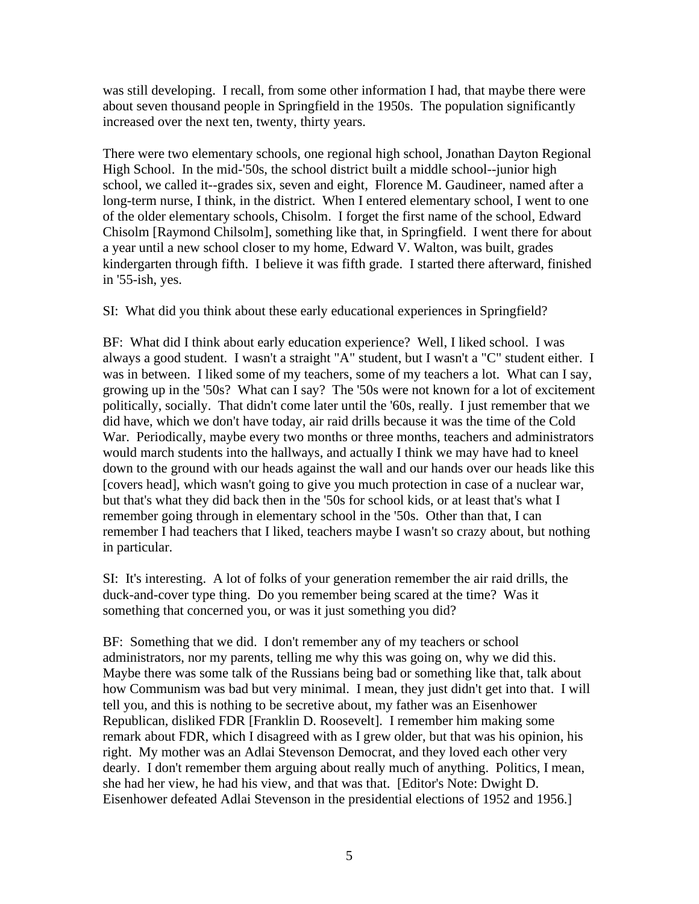was still developing. I recall, from some other information I had, that maybe there were about seven thousand people in Springfield in the 1950s. The population significantly increased over the next ten, twenty, thirty years.

There were two elementary schools, one regional high school, Jonathan Dayton Regional High School. In the mid-'50s, the school district built a middle school--junior high school, we called it--grades six, seven and eight, Florence M. Gaudineer, named after a long-term nurse, I think, in the district. When I entered elementary school, I went to one of the older elementary schools, Chisolm. I forget the first name of the school, Edward Chisolm [Raymond Chilsolm], something like that, in Springfield. I went there for about a year until a new school closer to my home, Edward V. Walton, was built, grades kindergarten through fifth. I believe it was fifth grade. I started there afterward, finished in '55-ish, yes.

SI: What did you think about these early educational experiences in Springfield?

BF: What did I think about early education experience? Well, I liked school. I was always a good student. I wasn't a straight "A" student, but I wasn't a "C" student either. I was in between. I liked some of my teachers, some of my teachers a lot. What can I say, growing up in the '50s? What can I say? The '50s were not known for a lot of excitement politically, socially. That didn't come later until the '60s, really. I just remember that we did have, which we don't have today, air raid drills because it was the time of the Cold War. Periodically, maybe every two months or three months, teachers and administrators would march students into the hallways, and actually I think we may have had to kneel down to the ground with our heads against the wall and our hands over our heads like this [covers head], which wasn't going to give you much protection in case of a nuclear war, but that's what they did back then in the '50s for school kids, or at least that's what I remember going through in elementary school in the '50s. Other than that, I can remember I had teachers that I liked, teachers maybe I wasn't so crazy about, but nothing in particular.

SI: It's interesting. A lot of folks of your generation remember the air raid drills, the duck-and-cover type thing. Do you remember being scared at the time? Was it something that concerned you, or was it just something you did?

BF: Something that we did. I don't remember any of my teachers or school administrators, nor my parents, telling me why this was going on, why we did this. Maybe there was some talk of the Russians being bad or something like that, talk about how Communism was bad but very minimal. I mean, they just didn't get into that. I will tell you, and this is nothing to be secretive about, my father was an Eisenhower Republican, disliked FDR [Franklin D. Roosevelt]. I remember him making some remark about FDR, which I disagreed with as I grew older, but that was his opinion, his right. My mother was an Adlai Stevenson Democrat, and they loved each other very dearly. I don't remember them arguing about really much of anything. Politics, I mean, she had her view, he had his view, and that was that. [Editor's Note: Dwight D. Eisenhower defeated Adlai Stevenson in the presidential elections of 1952 and 1956.]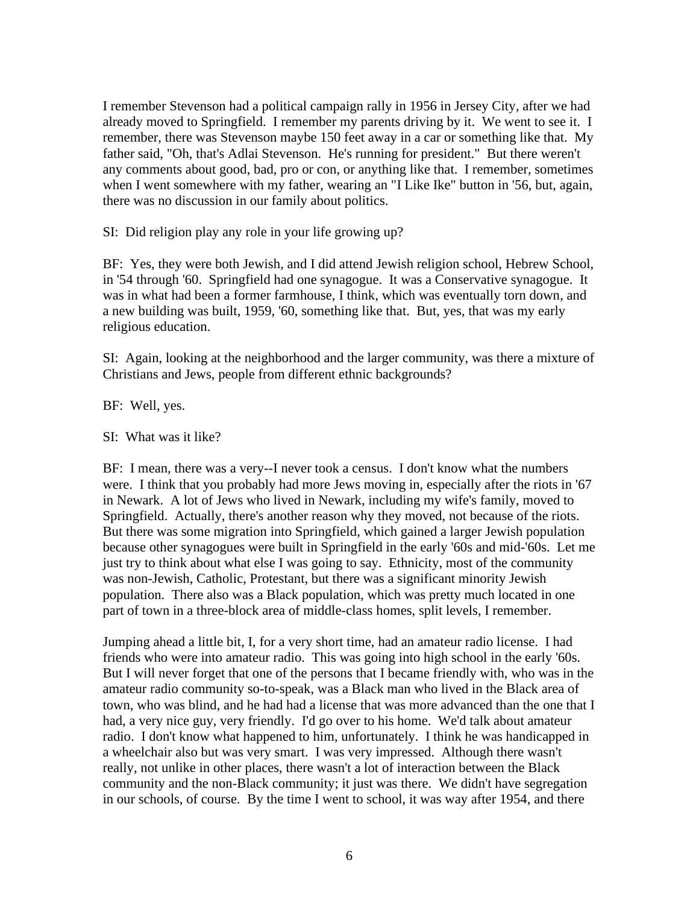I remember Stevenson had a political campaign rally in 1956 in Jersey City, after we had already moved to Springfield. I remember my parents driving by it. We went to see it. I remember, there was Stevenson maybe 150 feet away in a car or something like that. My father said, "Oh, that's Adlai Stevenson. He's running for president." But there weren't any comments about good, bad, pro or con, or anything like that. I remember, sometimes when I went somewhere with my father, wearing an "I Like Ike" button in '56, but, again, there was no discussion in our family about politics.

SI: Did religion play any role in your life growing up?

BF: Yes, they were both Jewish, and I did attend Jewish religion school, Hebrew School, in '54 through '60. Springfield had one synagogue. It was a Conservative synagogue. It was in what had been a former farmhouse, I think, which was eventually torn down, and a new building was built, 1959, '60, something like that. But, yes, that was my early religious education.

SI: Again, looking at the neighborhood and the larger community, was there a mixture of Christians and Jews, people from different ethnic backgrounds?

BF: Well, yes.

SI: What was it like?

BF: I mean, there was a very--I never took a census. I don't know what the numbers were. I think that you probably had more Jews moving in, especially after the riots in '67 in Newark. A lot of Jews who lived in Newark, including my wife's family, moved to Springfield. Actually, there's another reason why they moved, not because of the riots. But there was some migration into Springfield, which gained a larger Jewish population because other synagogues were built in Springfield in the early '60s and mid-'60s. Let me just try to think about what else I was going to say. Ethnicity, most of the community was non-Jewish, Catholic, Protestant, but there was a significant minority Jewish population. There also was a Black population, which was pretty much located in one part of town in a three-block area of middle-class homes, split levels, I remember.

Jumping ahead a little bit, I, for a very short time, had an amateur radio license. I had friends who were into amateur radio. This was going into high school in the early '60s. But I will never forget that one of the persons that I became friendly with, who was in the amateur radio community so-to-speak, was a Black man who lived in the Black area of town, who was blind, and he had had a license that was more advanced than the one that I had, a very nice guy, very friendly. I'd go over to his home. We'd talk about amateur radio. I don't know what happened to him, unfortunately. I think he was handicapped in a wheelchair also but was very smart. I was very impressed. Although there wasn't really, not unlike in other places, there wasn't a lot of interaction between the Black community and the non-Black community; it just was there. We didn't have segregation in our schools, of course. By the time I went to school, it was way after 1954, and there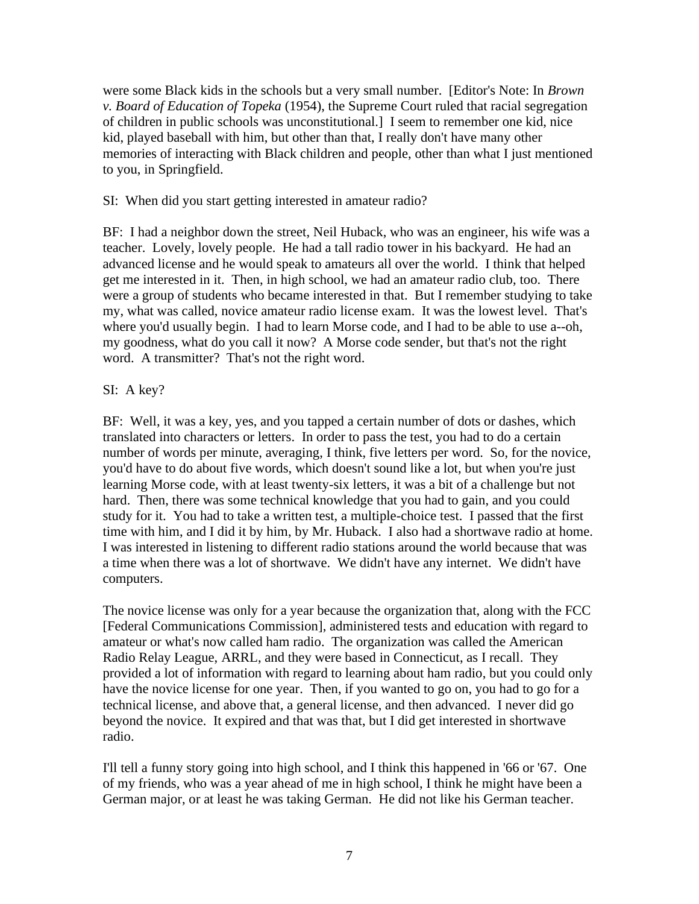were some Black kids in the schools but a very small number. [Editor's Note: In *Brown v. Board of Education of Topeka* (1954), the Supreme Court ruled that racial segregation of children in public schools was unconstitutional.] I seem to remember one kid, nice kid, played baseball with him, but other than that, I really don't have many other memories of interacting with Black children and people, other than what I just mentioned to you, in Springfield.

#### SI: When did you start getting interested in amateur radio?

BF: I had a neighbor down the street, Neil Huback, who was an engineer, his wife was a teacher. Lovely, lovely people. He had a tall radio tower in his backyard. He had an advanced license and he would speak to amateurs all over the world. I think that helped get me interested in it. Then, in high school, we had an amateur radio club, too. There were a group of students who became interested in that. But I remember studying to take my, what was called, novice amateur radio license exam. It was the lowest level. That's where you'd usually begin. I had to learn Morse code, and I had to be able to use a--oh, my goodness, what do you call it now? A Morse code sender, but that's not the right word. A transmitter? That's not the right word.

## SI: A key?

BF: Well, it was a key, yes, and you tapped a certain number of dots or dashes, which translated into characters or letters. In order to pass the test, you had to do a certain number of words per minute, averaging, I think, five letters per word. So, for the novice, you'd have to do about five words, which doesn't sound like a lot, but when you're just learning Morse code, with at least twenty-six letters, it was a bit of a challenge but not hard. Then, there was some technical knowledge that you had to gain, and you could study for it. You had to take a written test, a multiple-choice test. I passed that the first time with him, and I did it by him, by Mr. Huback. I also had a shortwave radio at home. I was interested in listening to different radio stations around the world because that was a time when there was a lot of shortwave. We didn't have any internet. We didn't have computers.

The novice license was only for a year because the organization that, along with the FCC [Federal Communications Commission], administered tests and education with regard to amateur or what's now called ham radio. The organization was called the American Radio Relay League, ARRL, and they were based in Connecticut, as I recall. They provided a lot of information with regard to learning about ham radio, but you could only have the novice license for one year. Then, if you wanted to go on, you had to go for a technical license, and above that, a general license, and then advanced. I never did go beyond the novice. It expired and that was that, but I did get interested in shortwave radio.

I'll tell a funny story going into high school, and I think this happened in '66 or '67. One of my friends, who was a year ahead of me in high school, I think he might have been a German major, or at least he was taking German. He did not like his German teacher.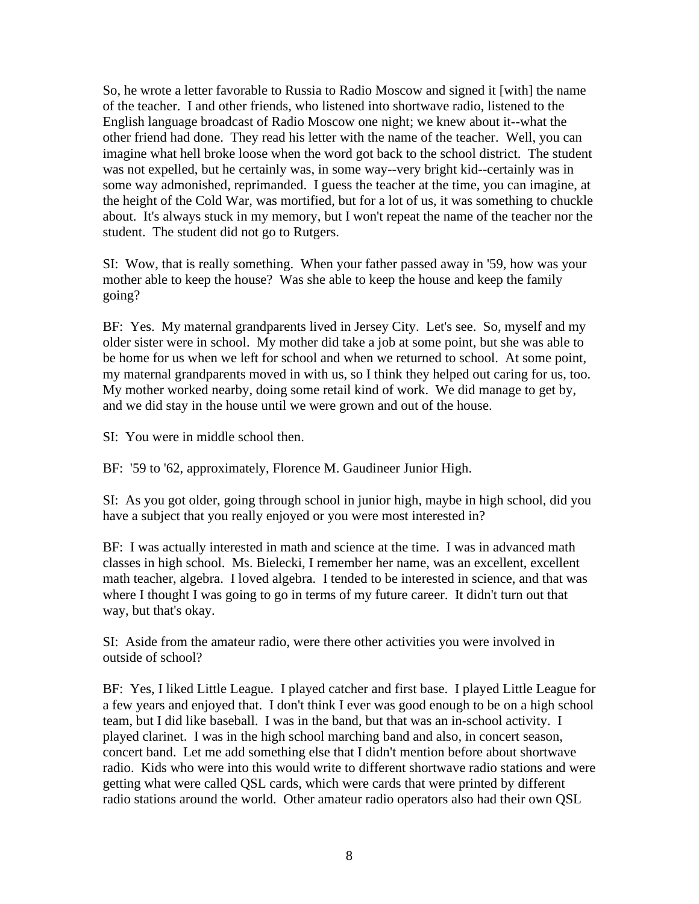So, he wrote a letter favorable to Russia to Radio Moscow and signed it [with] the name of the teacher. I and other friends, who listened into shortwave radio, listened to the English language broadcast of Radio Moscow one night; we knew about it--what the other friend had done. They read his letter with the name of the teacher. Well, you can imagine what hell broke loose when the word got back to the school district. The student was not expelled, but he certainly was, in some way--very bright kid--certainly was in some way admonished, reprimanded. I guess the teacher at the time, you can imagine, at the height of the Cold War, was mortified, but for a lot of us, it was something to chuckle about. It's always stuck in my memory, but I won't repeat the name of the teacher nor the student. The student did not go to Rutgers.

SI: Wow, that is really something. When your father passed away in '59, how was your mother able to keep the house? Was she able to keep the house and keep the family going?

BF: Yes. My maternal grandparents lived in Jersey City. Let's see. So, myself and my older sister were in school. My mother did take a job at some point, but she was able to be home for us when we left for school and when we returned to school. At some point, my maternal grandparents moved in with us, so I think they helped out caring for us, too. My mother worked nearby, doing some retail kind of work. We did manage to get by, and we did stay in the house until we were grown and out of the house.

SI: You were in middle school then.

BF: '59 to '62, approximately, Florence M. Gaudineer Junior High.

SI: As you got older, going through school in junior high, maybe in high school, did you have a subject that you really enjoyed or you were most interested in?

BF: I was actually interested in math and science at the time. I was in advanced math classes in high school. Ms. Bielecki, I remember her name, was an excellent, excellent math teacher, algebra. I loved algebra. I tended to be interested in science, and that was where I thought I was going to go in terms of my future career. It didn't turn out that way, but that's okay.

SI: Aside from the amateur radio, were there other activities you were involved in outside of school?

BF: Yes, I liked Little League. I played catcher and first base. I played Little League for a few years and enjoyed that. I don't think I ever was good enough to be on a high school team, but I did like baseball. I was in the band, but that was an in-school activity. I played clarinet. I was in the high school marching band and also, in concert season, concert band. Let me add something else that I didn't mention before about shortwave radio. Kids who were into this would write to different shortwave radio stations and were getting what were called QSL cards, which were cards that were printed by different radio stations around the world. Other amateur radio operators also had their own QSL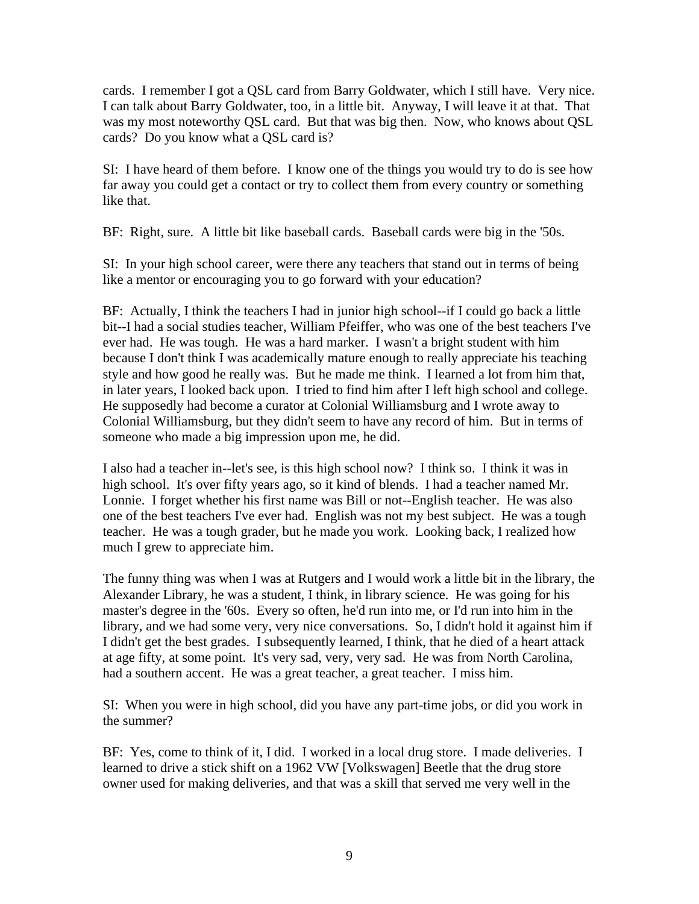cards. I remember I got a QSL card from Barry Goldwater, which I still have. Very nice. I can talk about Barry Goldwater, too, in a little bit. Anyway, I will leave it at that. That was my most noteworthy QSL card. But that was big then. Now, who knows about QSL cards? Do you know what a QSL card is?

SI: I have heard of them before. I know one of the things you would try to do is see how far away you could get a contact or try to collect them from every country or something like that.

BF: Right, sure. A little bit like baseball cards. Baseball cards were big in the '50s.

SI: In your high school career, were there any teachers that stand out in terms of being like a mentor or encouraging you to go forward with your education?

BF: Actually, I think the teachers I had in junior high school--if I could go back a little bit--I had a social studies teacher, William Pfeiffer, who was one of the best teachers I've ever had. He was tough. He was a hard marker. I wasn't a bright student with him because I don't think I was academically mature enough to really appreciate his teaching style and how good he really was. But he made me think. I learned a lot from him that, in later years, I looked back upon. I tried to find him after I left high school and college. He supposedly had become a curator at Colonial Williamsburg and I wrote away to Colonial Williamsburg, but they didn't seem to have any record of him. But in terms of someone who made a big impression upon me, he did.

I also had a teacher in--let's see, is this high school now? I think so. I think it was in high school. It's over fifty years ago, so it kind of blends. I had a teacher named Mr. Lonnie. I forget whether his first name was Bill or not--English teacher. He was also one of the best teachers I've ever had. English was not my best subject. He was a tough teacher. He was a tough grader, but he made you work. Looking back, I realized how much I grew to appreciate him.

The funny thing was when I was at Rutgers and I would work a little bit in the library, the Alexander Library, he was a student, I think, in library science. He was going for his master's degree in the '60s. Every so often, he'd run into me, or I'd run into him in the library, and we had some very, very nice conversations. So, I didn't hold it against him if I didn't get the best grades. I subsequently learned, I think, that he died of a heart attack at age fifty, at some point. It's very sad, very, very sad. He was from North Carolina, had a southern accent. He was a great teacher, a great teacher. I miss him.

SI: When you were in high school, did you have any part-time jobs, or did you work in the summer?

BF: Yes, come to think of it, I did. I worked in a local drug store. I made deliveries. I learned to drive a stick shift on a 1962 VW [Volkswagen] Beetle that the drug store owner used for making deliveries, and that was a skill that served me very well in the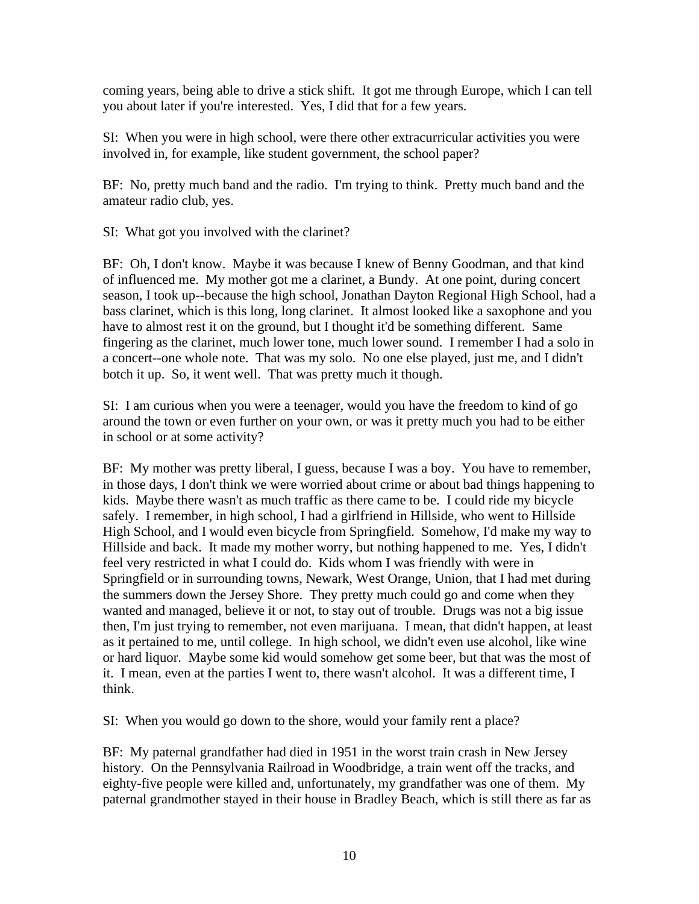coming years, being able to drive a stick shift. It got me through Europe, which I can tell you about later if you're interested. Yes, I did that for a few years.

SI: When you were in high school, were there other extracurricular activities you were involved in, for example, like student government, the school paper?

BF: No, pretty much band and the radio. I'm trying to think. Pretty much band and the amateur radio club, yes.

SI: What got you involved with the clarinet?

BF: Oh, I don't know. Maybe it was because I knew of Benny Goodman, and that kind of influenced me. My mother got me a clarinet, a Bundy. At one point, during concert season, I took up--because the high school, Jonathan Dayton Regional High School, had a bass clarinet, which is this long, long clarinet. It almost looked like a saxophone and you have to almost rest it on the ground, but I thought it'd be something different. Same fingering as the clarinet, much lower tone, much lower sound. I remember I had a solo in a concert--one whole note. That was my solo. No one else played, just me, and I didn't botch it up. So, it went well. That was pretty much it though.

SI: I am curious when you were a teenager, would you have the freedom to kind of go around the town or even further on your own, or was it pretty much you had to be either in school or at some activity?

BF: My mother was pretty liberal, I guess, because I was a boy. You have to remember, in those days, I don't think we were worried about crime or about bad things happening to kids. Maybe there wasn't as much traffic as there came to be. I could ride my bicycle safely. I remember, in high school, I had a girlfriend in Hillside, who went to Hillside High School, and I would even bicycle from Springfield. Somehow, I'd make my way to Hillside and back. It made my mother worry, but nothing happened to me. Yes, I didn't feel very restricted in what I could do. Kids whom I was friendly with were in Springfield or in surrounding towns, Newark, West Orange, Union, that I had met during the summers down the Jersey Shore. They pretty much could go and come when they wanted and managed, believe it or not, to stay out of trouble. Drugs was not a big issue then, I'm just trying to remember, not even marijuana. I mean, that didn't happen, at least as it pertained to me, until college. In high school, we didn't even use alcohol, like wine or hard liquor. Maybe some kid would somehow get some beer, but that was the most of it. I mean, even at the parties I went to, there wasn't alcohol. It was a different time, I think.

SI: When you would go down to the shore, would your family rent a place?

BF: My paternal grandfather had died in 1951 in the worst train crash in New Jersey history. On the Pennsylvania Railroad in Woodbridge, a train went off the tracks, and eighty-five people were killed and, unfortunately, my grandfather was one of them. My paternal grandmother stayed in their house in Bradley Beach, which is still there as far as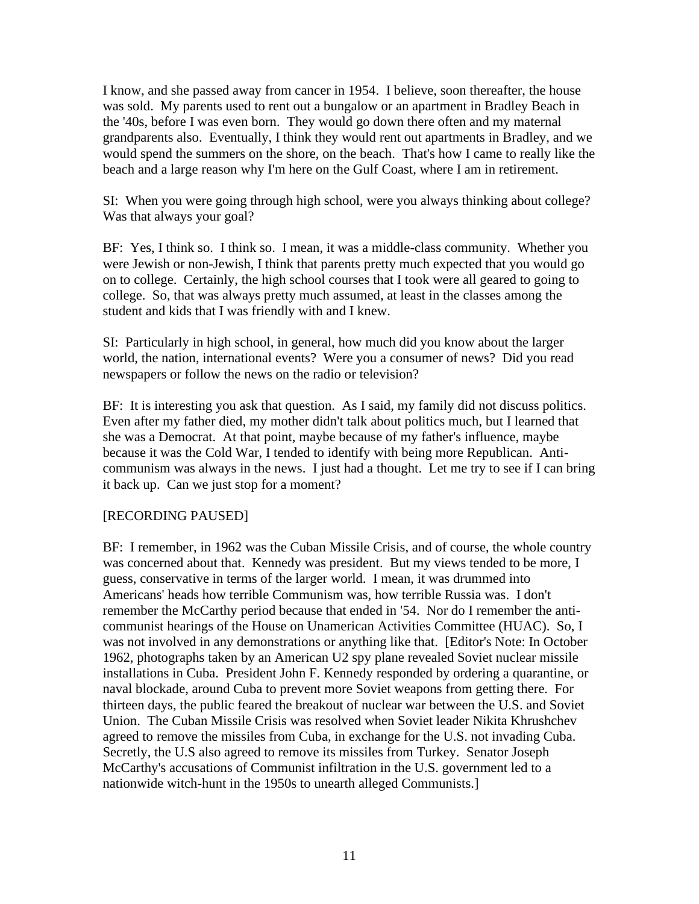I know, and she passed away from cancer in 1954. I believe, soon thereafter, the house was sold. My parents used to rent out a bungalow or an apartment in Bradley Beach in the '40s, before I was even born. They would go down there often and my maternal grandparents also. Eventually, I think they would rent out apartments in Bradley, and we would spend the summers on the shore, on the beach. That's how I came to really like the beach and a large reason why I'm here on the Gulf Coast, where I am in retirement.

SI: When you were going through high school, were you always thinking about college? Was that always your goal?

BF: Yes, I think so. I think so. I mean, it was a middle-class community. Whether you were Jewish or non-Jewish, I think that parents pretty much expected that you would go on to college. Certainly, the high school courses that I took were all geared to going to college. So, that was always pretty much assumed, at least in the classes among the student and kids that I was friendly with and I knew.

SI: Particularly in high school, in general, how much did you know about the larger world, the nation, international events? Were you a consumer of news? Did you read newspapers or follow the news on the radio or television?

BF: It is interesting you ask that question. As I said, my family did not discuss politics. Even after my father died, my mother didn't talk about politics much, but I learned that she was a Democrat. At that point, maybe because of my father's influence, maybe because it was the Cold War, I tended to identify with being more Republican. Anticommunism was always in the news. I just had a thought. Let me try to see if I can bring it back up. Can we just stop for a moment?

## [RECORDING PAUSED]

BF: I remember, in 1962 was the Cuban Missile Crisis, and of course, the whole country was concerned about that. Kennedy was president. But my views tended to be more, I guess, conservative in terms of the larger world. I mean, it was drummed into Americans' heads how terrible Communism was, how terrible Russia was. I don't remember the McCarthy period because that ended in '54. Nor do I remember the anticommunist hearings of the House on Unamerican Activities Committee (HUAC). So, I was not involved in any demonstrations or anything like that. [Editor's Note: In October 1962, photographs taken by an American U2 spy plane revealed Soviet nuclear missile installations in Cuba. President John F. Kennedy responded by ordering a quarantine, or naval blockade, around Cuba to prevent more Soviet weapons from getting there. For thirteen days, the public feared the breakout of nuclear war between the U.S. and Soviet Union. The Cuban Missile Crisis was resolved when Soviet leader Nikita Khrushchev agreed to remove the missiles from Cuba, in exchange for the U.S. not invading Cuba. Secretly, the U.S also agreed to remove its missiles from Turkey. Senator Joseph McCarthy's accusations of Communist infiltration in the U.S. government led to a nationwide witch-hunt in the 1950s to unearth alleged Communists.]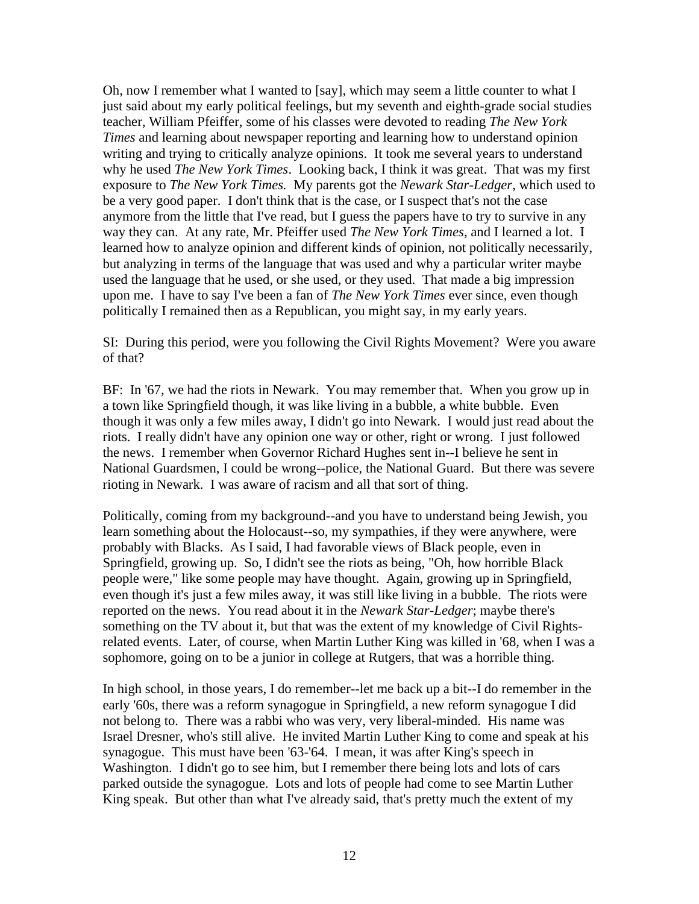Oh, now I remember what I wanted to [say], which may seem a little counter to what I just said about my early political feelings, but my seventh and eighth-grade social studies teacher, William Pfeiffer, some of his classes were devoted to reading *The New York Times* and learning about newspaper reporting and learning how to understand opinion writing and trying to critically analyze opinions. It took me several years to understand why he used *The New York Times*. Looking back, I think it was great. That was my first exposure to *The New York Times.* My parents got the *Newark Star-Ledger*, which used to be a very good paper. I don't think that is the case, or I suspect that's not the case anymore from the little that I've read, but I guess the papers have to try to survive in any way they can. At any rate, Mr. Pfeiffer used *The New York Times*, and I learned a lot. I learned how to analyze opinion and different kinds of opinion, not politically necessarily, but analyzing in terms of the language that was used and why a particular writer maybe used the language that he used, or she used, or they used. That made a big impression upon me. I have to say I've been a fan of *The New York Times* ever since, even though politically I remained then as a Republican, you might say, in my early years.

SI: During this period, were you following the Civil Rights Movement? Were you aware of that?

BF: In '67, we had the riots in Newark. You may remember that. When you grow up in a town like Springfield though, it was like living in a bubble, a white bubble. Even though it was only a few miles away, I didn't go into Newark. I would just read about the riots. I really didn't have any opinion one way or other, right or wrong. I just followed the news. I remember when Governor Richard Hughes sent in--I believe he sent in National Guardsmen, I could be wrong--police, the National Guard. But there was severe rioting in Newark. I was aware of racism and all that sort of thing.

Politically, coming from my background--and you have to understand being Jewish, you learn something about the Holocaust--so, my sympathies, if they were anywhere, were probably with Blacks. As I said, I had favorable views of Black people, even in Springfield, growing up. So, I didn't see the riots as being, "Oh, how horrible Black people were," like some people may have thought. Again, growing up in Springfield, even though it's just a few miles away, it was still like living in a bubble. The riots were reported on the news. You read about it in the *Newark Star-Ledger*; maybe there's something on the TV about it, but that was the extent of my knowledge of Civil Rightsrelated events. Later, of course, when Martin Luther King was killed in '68, when I was a sophomore, going on to be a junior in college at Rutgers, that was a horrible thing.

In high school, in those years, I do remember--let me back up a bit--I do remember in the early '60s, there was a reform synagogue in Springfield, a new reform synagogue I did not belong to. There was a rabbi who was very, very liberal-minded. His name was Israel Dresner, who's still alive. He invited Martin Luther King to come and speak at his synagogue. This must have been '63-'64. I mean, it was after King's speech in Washington. I didn't go to see him, but I remember there being lots and lots of cars parked outside the synagogue. Lots and lots of people had come to see Martin Luther King speak. But other than what I've already said, that's pretty much the extent of my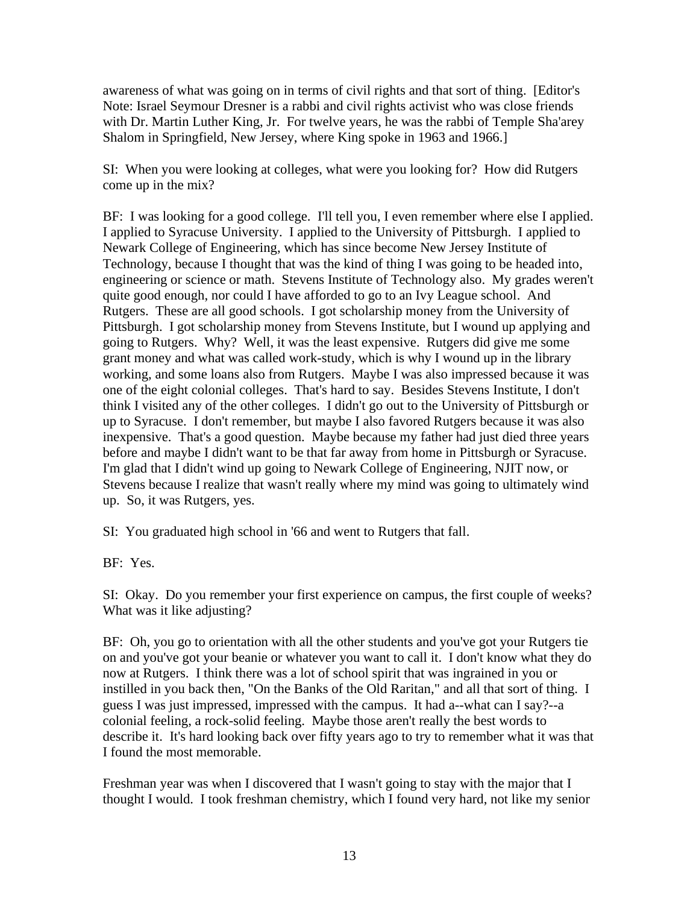awareness of what was going on in terms of civil rights and that sort of thing. [Editor's Note: Israel Seymour Dresner is a rabbi and civil rights activist who was close friends with Dr. Martin Luther King, Jr. For twelve years, he was the rabbi of Temple Sha'arey Shalom in Springfield, New Jersey, where King spoke in 1963 and 1966.]

SI: When you were looking at colleges, what were you looking for? How did Rutgers come up in the mix?

BF: I was looking for a good college. I'll tell you, I even remember where else I applied. I applied to Syracuse University. I applied to the University of Pittsburgh. I applied to Newark College of Engineering, which has since become New Jersey Institute of Technology, because I thought that was the kind of thing I was going to be headed into, engineering or science or math. Stevens Institute of Technology also. My grades weren't quite good enough, nor could I have afforded to go to an Ivy League school. And Rutgers. These are all good schools. I got scholarship money from the University of Pittsburgh. I got scholarship money from Stevens Institute, but I wound up applying and going to Rutgers. Why? Well, it was the least expensive. Rutgers did give me some grant money and what was called work-study, which is why I wound up in the library working, and some loans also from Rutgers. Maybe I was also impressed because it was one of the eight colonial colleges. That's hard to say. Besides Stevens Institute, I don't think I visited any of the other colleges. I didn't go out to the University of Pittsburgh or up to Syracuse. I don't remember, but maybe I also favored Rutgers because it was also inexpensive. That's a good question. Maybe because my father had just died three years before and maybe I didn't want to be that far away from home in Pittsburgh or Syracuse. I'm glad that I didn't wind up going to Newark College of Engineering, NJIT now, or Stevens because I realize that wasn't really where my mind was going to ultimately wind up. So, it was Rutgers, yes.

SI: You graduated high school in '66 and went to Rutgers that fall.

BF: Yes.

SI: Okay. Do you remember your first experience on campus, the first couple of weeks? What was it like adjusting?

BF: Oh, you go to orientation with all the other students and you've got your Rutgers tie on and you've got your beanie or whatever you want to call it. I don't know what they do now at Rutgers. I think there was a lot of school spirit that was ingrained in you or instilled in you back then, "On the Banks of the Old Raritan," and all that sort of thing. I guess I was just impressed, impressed with the campus. It had a--what can I say?--a colonial feeling, a rock-solid feeling. Maybe those aren't really the best words to describe it. It's hard looking back over fifty years ago to try to remember what it was that I found the most memorable.

Freshman year was when I discovered that I wasn't going to stay with the major that I thought I would. I took freshman chemistry, which I found very hard, not like my senior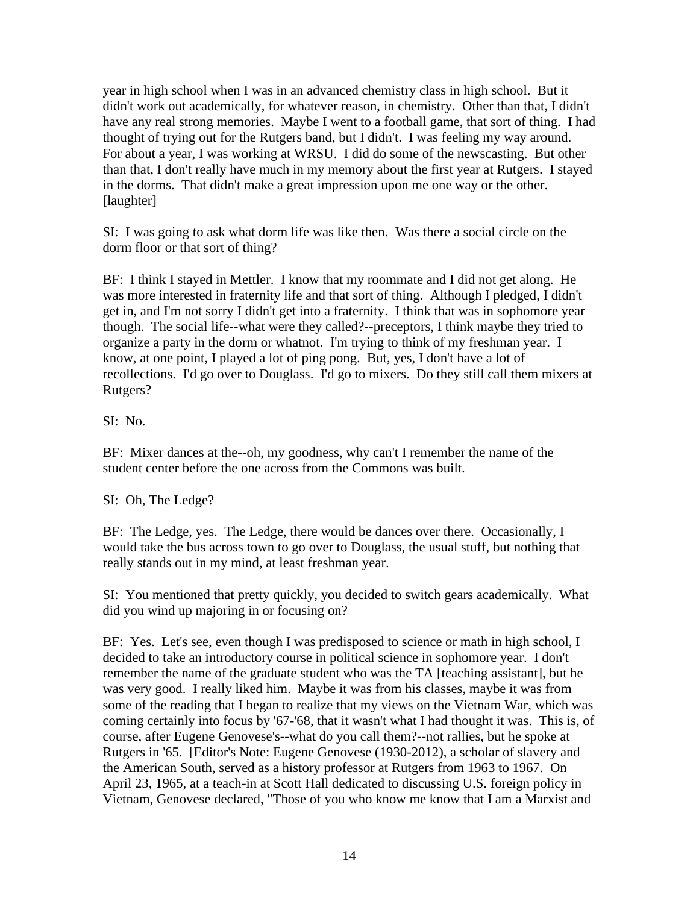year in high school when I was in an advanced chemistry class in high school. But it didn't work out academically, for whatever reason, in chemistry. Other than that, I didn't have any real strong memories. Maybe I went to a football game, that sort of thing. I had thought of trying out for the Rutgers band, but I didn't. I was feeling my way around. For about a year, I was working at WRSU. I did do some of the newscasting. But other than that, I don't really have much in my memory about the first year at Rutgers. I stayed in the dorms. That didn't make a great impression upon me one way or the other. [laughter]

SI: I was going to ask what dorm life was like then. Was there a social circle on the dorm floor or that sort of thing?

BF: I think I stayed in Mettler. I know that my roommate and I did not get along. He was more interested in fraternity life and that sort of thing. Although I pledged, I didn't get in, and I'm not sorry I didn't get into a fraternity. I think that was in sophomore year though. The social life--what were they called?--preceptors, I think maybe they tried to organize a party in the dorm or whatnot. I'm trying to think of my freshman year. I know, at one point, I played a lot of ping pong. But, yes, I don't have a lot of recollections. I'd go over to Douglass. I'd go to mixers. Do they still call them mixers at Rutgers?

SI: No.

BF: Mixer dances at the--oh, my goodness, why can't I remember the name of the student center before the one across from the Commons was built.

SI: Oh, The Ledge?

BF: The Ledge, yes. The Ledge, there would be dances over there. Occasionally, I would take the bus across town to go over to Douglass, the usual stuff, but nothing that really stands out in my mind, at least freshman year.

SI: You mentioned that pretty quickly, you decided to switch gears academically. What did you wind up majoring in or focusing on?

BF: Yes. Let's see, even though I was predisposed to science or math in high school, I decided to take an introductory course in political science in sophomore year. I don't remember the name of the graduate student who was the TA [teaching assistant], but he was very good. I really liked him. Maybe it was from his classes, maybe it was from some of the reading that I began to realize that my views on the Vietnam War, which was coming certainly into focus by '67-'68, that it wasn't what I had thought it was. This is, of course, after Eugene Genovese's--what do you call them?--not rallies, but he spoke at Rutgers in '65. [Editor's Note: Eugene Genovese (1930-2012), a scholar of slavery and the American South, served as a history professor at Rutgers from 1963 to 1967. On April 23, 1965, at a teach-in at Scott Hall dedicated to discussing U.S. foreign policy in Vietnam, Genovese declared, "Those of you who know me know that I am a Marxist and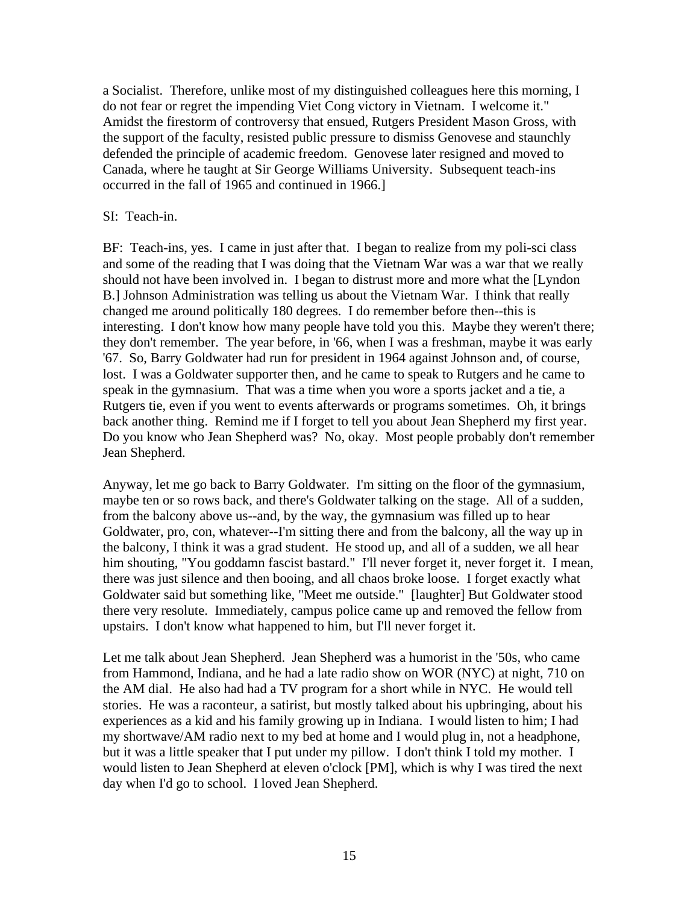a Socialist. Therefore, unlike most of my distinguished colleagues here this morning, I do not fear or regret the impending Viet Cong victory in Vietnam. I welcome it." Amidst the firestorm of controversy that ensued, Rutgers President Mason Gross, with the support of the faculty, resisted public pressure to dismiss Genovese and staunchly defended the principle of academic freedom. Genovese later resigned and moved to Canada, where he taught at Sir George Williams University. Subsequent teach-ins occurred in the fall of 1965 and continued in 1966.]

## SI: Teach-in.

BF: Teach-ins, yes. I came in just after that. I began to realize from my poli-sci class and some of the reading that I was doing that the Vietnam War was a war that we really should not have been involved in. I began to distrust more and more what the [Lyndon B.] Johnson Administration was telling us about the Vietnam War. I think that really changed me around politically 180 degrees. I do remember before then--this is interesting. I don't know how many people have told you this. Maybe they weren't there; they don't remember. The year before, in '66, when I was a freshman, maybe it was early '67. So, Barry Goldwater had run for president in 1964 against Johnson and, of course, lost. I was a Goldwater supporter then, and he came to speak to Rutgers and he came to speak in the gymnasium. That was a time when you wore a sports jacket and a tie, a Rutgers tie, even if you went to events afterwards or programs sometimes. Oh, it brings back another thing. Remind me if I forget to tell you about Jean Shepherd my first year. Do you know who Jean Shepherd was? No, okay. Most people probably don't remember Jean Shepherd.

Anyway, let me go back to Barry Goldwater. I'm sitting on the floor of the gymnasium, maybe ten or so rows back, and there's Goldwater talking on the stage. All of a sudden, from the balcony above us--and, by the way, the gymnasium was filled up to hear Goldwater, pro, con, whatever--I'm sitting there and from the balcony, all the way up in the balcony, I think it was a grad student. He stood up, and all of a sudden, we all hear him shouting, "You goddamn fascist bastard." I'll never forget it, never forget it. I mean, there was just silence and then booing, and all chaos broke loose. I forget exactly what Goldwater said but something like, "Meet me outside." [laughter] But Goldwater stood there very resolute. Immediately, campus police came up and removed the fellow from upstairs. I don't know what happened to him, but I'll never forget it.

Let me talk about Jean Shepherd. Jean Shepherd was a humorist in the '50s, who came from Hammond, Indiana, and he had a late radio show on WOR (NYC) at night, 710 on the AM dial. He also had had a TV program for a short while in NYC. He would tell stories. He was a raconteur, a satirist, but mostly talked about his upbringing, about his experiences as a kid and his family growing up in Indiana. I would listen to him; I had my shortwave/AM radio next to my bed at home and I would plug in, not a headphone, but it was a little speaker that I put under my pillow. I don't think I told my mother. I would listen to Jean Shepherd at eleven o'clock [PM], which is why I was tired the next day when I'd go to school. I loved Jean Shepherd.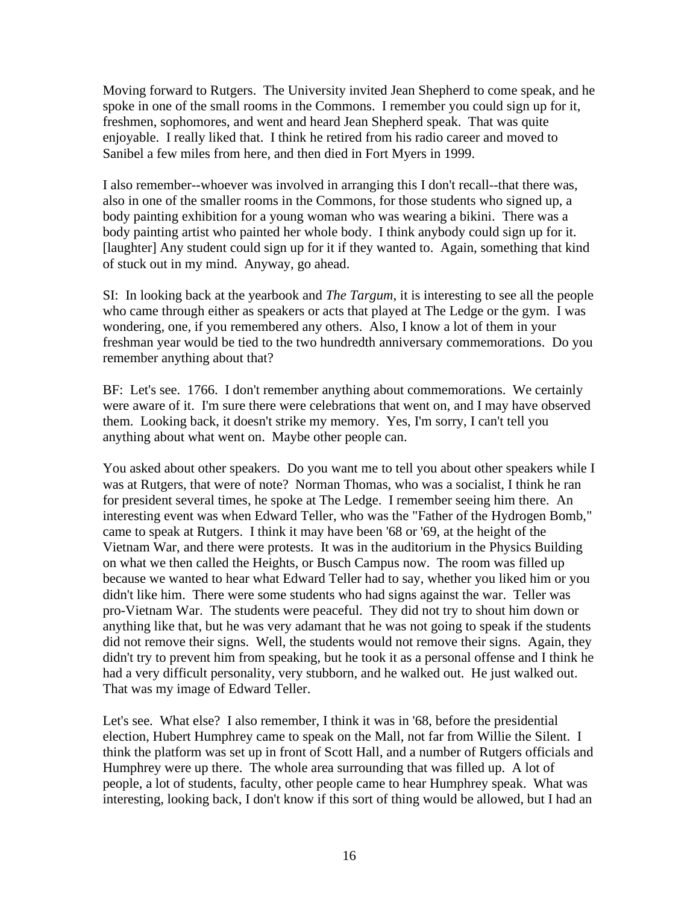Moving forward to Rutgers. The University invited Jean Shepherd to come speak, and he spoke in one of the small rooms in the Commons. I remember you could sign up for it, freshmen, sophomores, and went and heard Jean Shepherd speak. That was quite enjoyable. I really liked that. I think he retired from his radio career and moved to Sanibel a few miles from here, and then died in Fort Myers in 1999.

I also remember--whoever was involved in arranging this I don't recall--that there was, also in one of the smaller rooms in the Commons, for those students who signed up, a body painting exhibition for a young woman who was wearing a bikini. There was a body painting artist who painted her whole body. I think anybody could sign up for it. [laughter] Any student could sign up for it if they wanted to. Again, something that kind of stuck out in my mind. Anyway, go ahead.

SI: In looking back at the yearbook and *The Targum*, it is interesting to see all the people who came through either as speakers or acts that played at The Ledge or the gym. I was wondering, one, if you remembered any others. Also, I know a lot of them in your freshman year would be tied to the two hundredth anniversary commemorations. Do you remember anything about that?

BF: Let's see. 1766. I don't remember anything about commemorations. We certainly were aware of it. I'm sure there were celebrations that went on, and I may have observed them. Looking back, it doesn't strike my memory. Yes, I'm sorry, I can't tell you anything about what went on. Maybe other people can.

You asked about other speakers. Do you want me to tell you about other speakers while I was at Rutgers, that were of note? Norman Thomas, who was a socialist, I think he ran for president several times, he spoke at The Ledge. I remember seeing him there. An interesting event was when Edward Teller, who was the "Father of the Hydrogen Bomb," came to speak at Rutgers. I think it may have been '68 or '69, at the height of the Vietnam War, and there were protests. It was in the auditorium in the Physics Building on what we then called the Heights, or Busch Campus now. The room was filled up because we wanted to hear what Edward Teller had to say, whether you liked him or you didn't like him. There were some students who had signs against the war. Teller was pro-Vietnam War. The students were peaceful. They did not try to shout him down or anything like that, but he was very adamant that he was not going to speak if the students did not remove their signs. Well, the students would not remove their signs. Again, they didn't try to prevent him from speaking, but he took it as a personal offense and I think he had a very difficult personality, very stubborn, and he walked out. He just walked out. That was my image of Edward Teller.

Let's see. What else? I also remember, I think it was in '68, before the presidential election, Hubert Humphrey came to speak on the Mall, not far from Willie the Silent. I think the platform was set up in front of Scott Hall, and a number of Rutgers officials and Humphrey were up there. The whole area surrounding that was filled up. A lot of people, a lot of students, faculty, other people came to hear Humphrey speak. What was interesting, looking back, I don't know if this sort of thing would be allowed, but I had an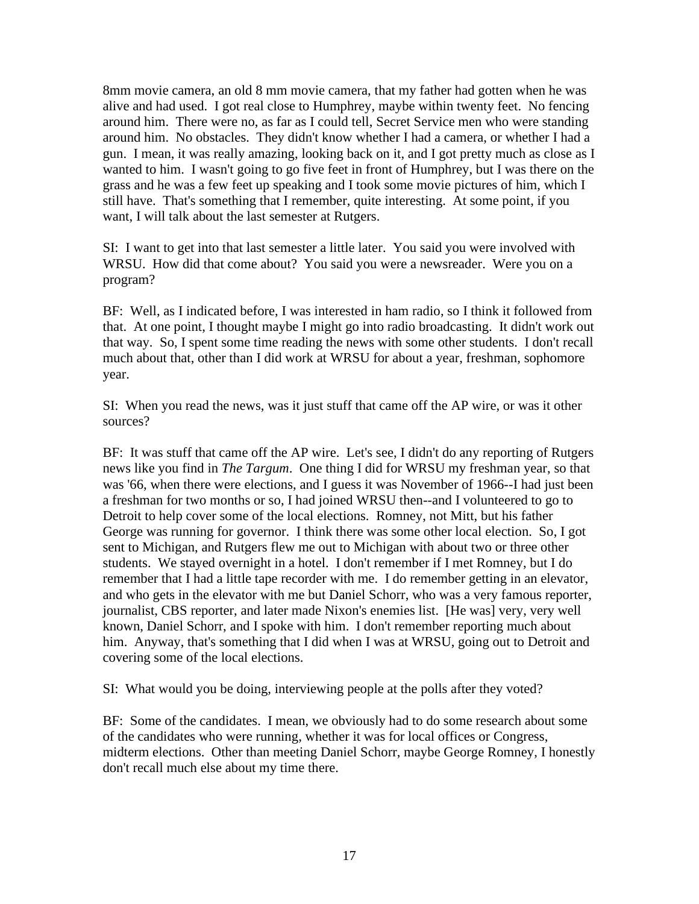8mm movie camera, an old 8 mm movie camera, that my father had gotten when he was alive and had used. I got real close to Humphrey, maybe within twenty feet. No fencing around him. There were no, as far as I could tell, Secret Service men who were standing around him. No obstacles. They didn't know whether I had a camera, or whether I had a gun. I mean, it was really amazing, looking back on it, and I got pretty much as close as I wanted to him. I wasn't going to go five feet in front of Humphrey, but I was there on the grass and he was a few feet up speaking and I took some movie pictures of him, which I still have. That's something that I remember, quite interesting. At some point, if you want, I will talk about the last semester at Rutgers.

SI: I want to get into that last semester a little later. You said you were involved with WRSU. How did that come about? You said you were a newsreader. Were you on a program?

BF: Well, as I indicated before, I was interested in ham radio, so I think it followed from that. At one point, I thought maybe I might go into radio broadcasting. It didn't work out that way. So, I spent some time reading the news with some other students. I don't recall much about that, other than I did work at WRSU for about a year, freshman, sophomore year.

SI: When you read the news, was it just stuff that came off the AP wire, or was it other sources?

BF: It was stuff that came off the AP wire. Let's see, I didn't do any reporting of Rutgers news like you find in *The Targum*. One thing I did for WRSU my freshman year, so that was '66, when there were elections, and I guess it was November of 1966--I had just been a freshman for two months or so, I had joined WRSU then--and I volunteered to go to Detroit to help cover some of the local elections. Romney, not Mitt, but his father George was running for governor. I think there was some other local election. So, I got sent to Michigan, and Rutgers flew me out to Michigan with about two or three other students. We stayed overnight in a hotel. I don't remember if I met Romney, but I do remember that I had a little tape recorder with me. I do remember getting in an elevator, and who gets in the elevator with me but Daniel Schorr, who was a very famous reporter, journalist, CBS reporter, and later made Nixon's enemies list. [He was] very, very well known, Daniel Schorr, and I spoke with him. I don't remember reporting much about him. Anyway, that's something that I did when I was at WRSU, going out to Detroit and covering some of the local elections.

SI: What would you be doing, interviewing people at the polls after they voted?

BF: Some of the candidates. I mean, we obviously had to do some research about some of the candidates who were running, whether it was for local offices or Congress, midterm elections. Other than meeting Daniel Schorr, maybe George Romney, I honestly don't recall much else about my time there.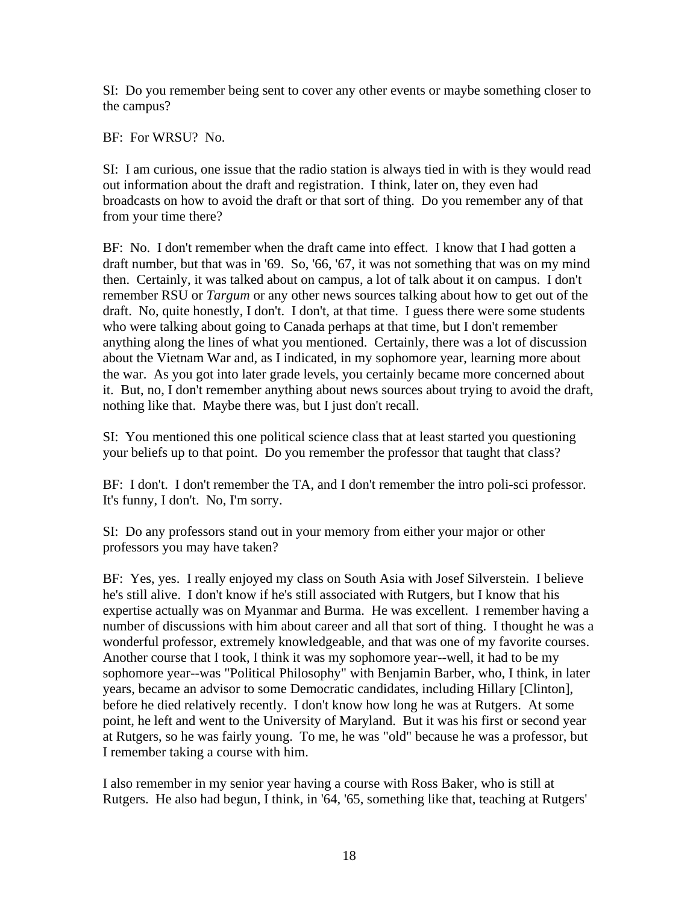SI: Do you remember being sent to cover any other events or maybe something closer to the campus?

BF: For WRSU? No.

SI: I am curious, one issue that the radio station is always tied in with is they would read out information about the draft and registration. I think, later on, they even had broadcasts on how to avoid the draft or that sort of thing. Do you remember any of that from your time there?

BF: No. I don't remember when the draft came into effect. I know that I had gotten a draft number, but that was in '69. So, '66, '67, it was not something that was on my mind then. Certainly, it was talked about on campus, a lot of talk about it on campus. I don't remember RSU or *Targum* or any other news sources talking about how to get out of the draft. No, quite honestly, I don't. I don't, at that time. I guess there were some students who were talking about going to Canada perhaps at that time, but I don't remember anything along the lines of what you mentioned. Certainly, there was a lot of discussion about the Vietnam War and, as I indicated, in my sophomore year, learning more about the war. As you got into later grade levels, you certainly became more concerned about it. But, no, I don't remember anything about news sources about trying to avoid the draft, nothing like that. Maybe there was, but I just don't recall.

SI: You mentioned this one political science class that at least started you questioning your beliefs up to that point. Do you remember the professor that taught that class?

BF: I don't. I don't remember the TA, and I don't remember the intro poli-sci professor. It's funny, I don't. No, I'm sorry.

SI: Do any professors stand out in your memory from either your major or other professors you may have taken?

BF: Yes, yes. I really enjoyed my class on South Asia with Josef Silverstein. I believe he's still alive. I don't know if he's still associated with Rutgers, but I know that his expertise actually was on Myanmar and Burma. He was excellent. I remember having a number of discussions with him about career and all that sort of thing. I thought he was a wonderful professor, extremely knowledgeable, and that was one of my favorite courses. Another course that I took, I think it was my sophomore year--well, it had to be my sophomore year--was "Political Philosophy" with Benjamin Barber, who, I think, in later years, became an advisor to some Democratic candidates, including Hillary [Clinton], before he died relatively recently. I don't know how long he was at Rutgers. At some point, he left and went to the University of Maryland. But it was his first or second year at Rutgers, so he was fairly young. To me, he was "old" because he was a professor, but I remember taking a course with him.

I also remember in my senior year having a course with Ross Baker, who is still at Rutgers. He also had begun, I think, in '64, '65, something like that, teaching at Rutgers'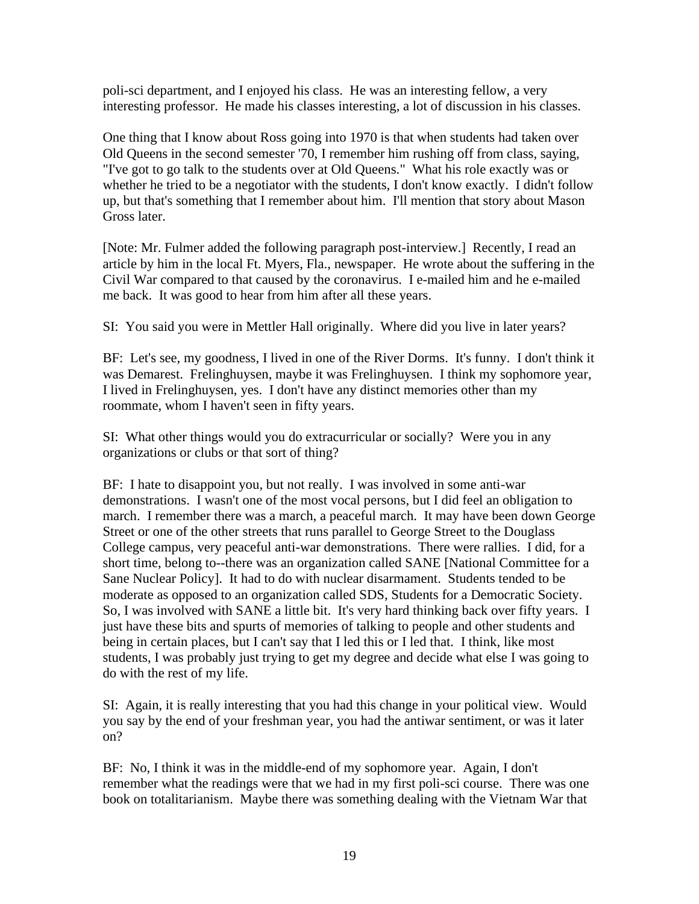poli-sci department, and I enjoyed his class. He was an interesting fellow, a very interesting professor. He made his classes interesting, a lot of discussion in his classes.

One thing that I know about Ross going into 1970 is that when students had taken over Old Queens in the second semester '70, I remember him rushing off from class, saying, "I've got to go talk to the students over at Old Queens." What his role exactly was or whether he tried to be a negotiator with the students, I don't know exactly. I didn't follow up, but that's something that I remember about him. I'll mention that story about Mason Gross later.

[Note: Mr. Fulmer added the following paragraph post-interview.] Recently, I read an article by him in the local Ft. Myers, Fla., newspaper. He wrote about the suffering in the Civil War compared to that caused by the coronavirus. I e-mailed him and he e-mailed me back. It was good to hear from him after all these years.

SI: You said you were in Mettler Hall originally. Where did you live in later years?

BF: Let's see, my goodness, I lived in one of the River Dorms. It's funny. I don't think it was Demarest. Frelinghuysen, maybe it was Frelinghuysen. I think my sophomore year, I lived in Frelinghuysen, yes. I don't have any distinct memories other than my roommate, whom I haven't seen in fifty years.

SI: What other things would you do extracurricular or socially? Were you in any organizations or clubs or that sort of thing?

BF: I hate to disappoint you, but not really. I was involved in some anti-war demonstrations. I wasn't one of the most vocal persons, but I did feel an obligation to march. I remember there was a march, a peaceful march. It may have been down George Street or one of the other streets that runs parallel to George Street to the Douglass College campus, very peaceful anti-war demonstrations. There were rallies. I did, for a short time, belong to--there was an organization called SANE [National Committee for a Sane Nuclear Policy]. It had to do with nuclear disarmament. Students tended to be moderate as opposed to an organization called SDS, Students for a Democratic Society. So, I was involved with SANE a little bit. It's very hard thinking back over fifty years. I just have these bits and spurts of memories of talking to people and other students and being in certain places, but I can't say that I led this or I led that. I think, like most students, I was probably just trying to get my degree and decide what else I was going to do with the rest of my life.

SI: Again, it is really interesting that you had this change in your political view. Would you say by the end of your freshman year, you had the antiwar sentiment, or was it later on?

BF: No, I think it was in the middle-end of my sophomore year. Again, I don't remember what the readings were that we had in my first poli-sci course. There was one book on totalitarianism. Maybe there was something dealing with the Vietnam War that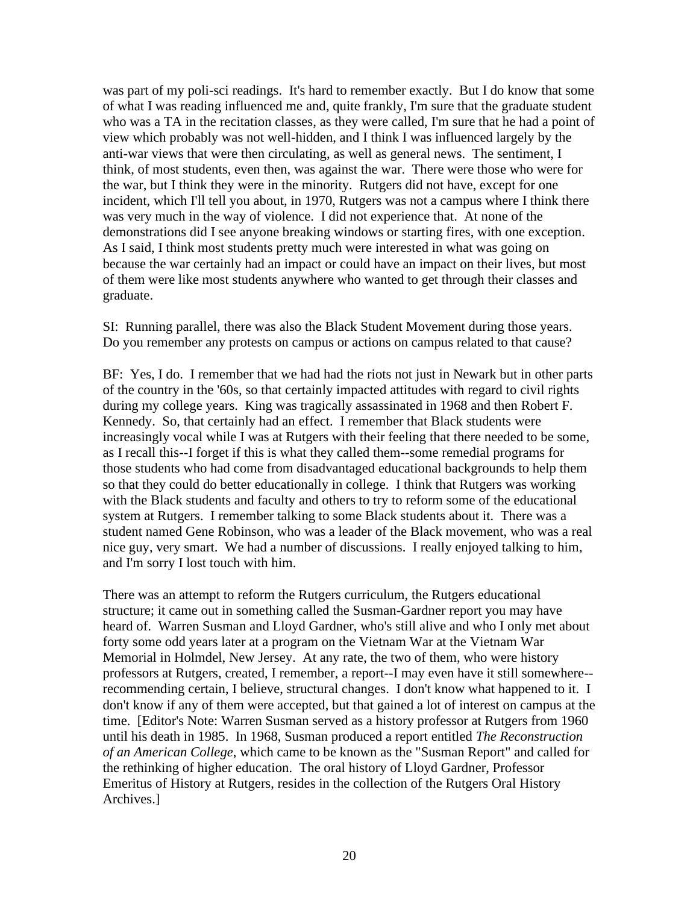was part of my poli-sci readings. It's hard to remember exactly. But I do know that some of what I was reading influenced me and, quite frankly, I'm sure that the graduate student who was a TA in the recitation classes, as they were called, I'm sure that he had a point of view which probably was not well-hidden, and I think I was influenced largely by the anti-war views that were then circulating, as well as general news. The sentiment, I think, of most students, even then, was against the war. There were those who were for the war, but I think they were in the minority. Rutgers did not have, except for one incident, which I'll tell you about, in 1970, Rutgers was not a campus where I think there was very much in the way of violence. I did not experience that. At none of the demonstrations did I see anyone breaking windows or starting fires, with one exception. As I said, I think most students pretty much were interested in what was going on because the war certainly had an impact or could have an impact on their lives, but most of them were like most students anywhere who wanted to get through their classes and graduate.

SI: Running parallel, there was also the Black Student Movement during those years. Do you remember any protests on campus or actions on campus related to that cause?

BF: Yes, I do. I remember that we had had the riots not just in Newark but in other parts of the country in the '60s, so that certainly impacted attitudes with regard to civil rights during my college years. King was tragically assassinated in 1968 and then Robert F. Kennedy. So, that certainly had an effect. I remember that Black students were increasingly vocal while I was at Rutgers with their feeling that there needed to be some, as I recall this--I forget if this is what they called them--some remedial programs for those students who had come from disadvantaged educational backgrounds to help them so that they could do better educationally in college. I think that Rutgers was working with the Black students and faculty and others to try to reform some of the educational system at Rutgers. I remember talking to some Black students about it. There was a student named Gene Robinson, who was a leader of the Black movement, who was a real nice guy, very smart. We had a number of discussions. I really enjoyed talking to him, and I'm sorry I lost touch with him.

There was an attempt to reform the Rutgers curriculum, the Rutgers educational structure; it came out in something called the Susman-Gardner report you may have heard of. Warren Susman and Lloyd Gardner, who's still alive and who I only met about forty some odd years later at a program on the Vietnam War at the Vietnam War Memorial in Holmdel, New Jersey. At any rate, the two of them, who were history professors at Rutgers, created, I remember, a report--I may even have it still somewhere- recommending certain, I believe, structural changes. I don't know what happened to it. I don't know if any of them were accepted, but that gained a lot of interest on campus at the time. [Editor's Note: Warren Susman served as a history professor at Rutgers from 1960 until his death in 1985. In 1968, Susman produced a report entitled *The Reconstruction of an American College*, which came to be known as the "Susman Report" and called for the rethinking of higher education. The oral history of Lloyd Gardner, Professor Emeritus of History at Rutgers, resides in the collection of the Rutgers Oral History Archives.]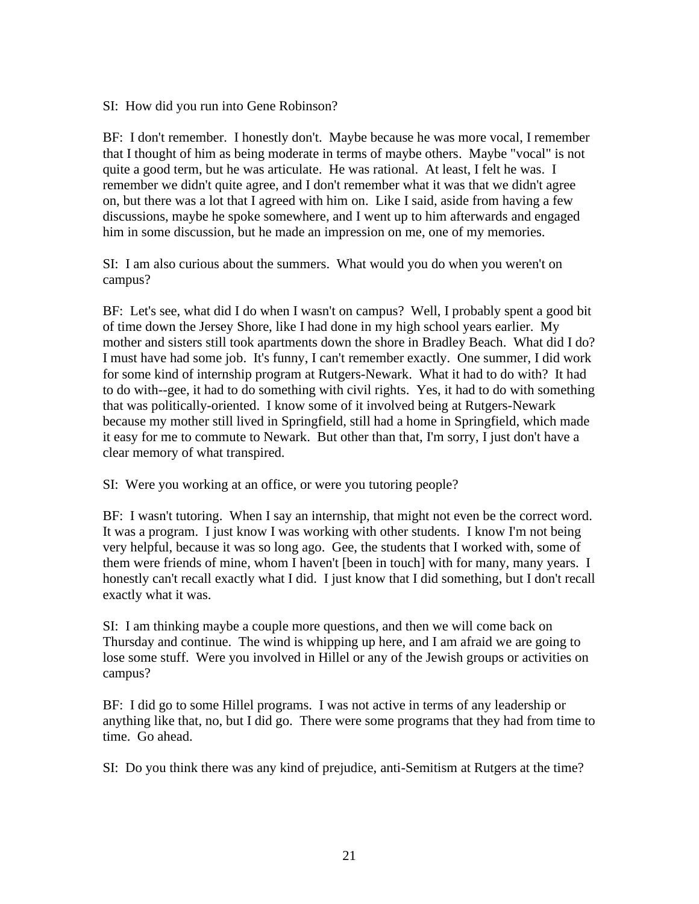SI: How did you run into Gene Robinson?

BF: I don't remember. I honestly don't. Maybe because he was more vocal, I remember that I thought of him as being moderate in terms of maybe others. Maybe "vocal" is not quite a good term, but he was articulate. He was rational. At least, I felt he was. I remember we didn't quite agree, and I don't remember what it was that we didn't agree on, but there was a lot that I agreed with him on. Like I said, aside from having a few discussions, maybe he spoke somewhere, and I went up to him afterwards and engaged him in some discussion, but he made an impression on me, one of my memories.

SI: I am also curious about the summers. What would you do when you weren't on campus?

BF: Let's see, what did I do when I wasn't on campus? Well, I probably spent a good bit of time down the Jersey Shore, like I had done in my high school years earlier. My mother and sisters still took apartments down the shore in Bradley Beach. What did I do? I must have had some job. It's funny, I can't remember exactly. One summer, I did work for some kind of internship program at Rutgers-Newark. What it had to do with? It had to do with--gee, it had to do something with civil rights. Yes, it had to do with something that was politically-oriented. I know some of it involved being at Rutgers-Newark because my mother still lived in Springfield, still had a home in Springfield, which made it easy for me to commute to Newark. But other than that, I'm sorry, I just don't have a clear memory of what transpired.

SI: Were you working at an office, or were you tutoring people?

BF: I wasn't tutoring. When I say an internship, that might not even be the correct word. It was a program. I just know I was working with other students. I know I'm not being very helpful, because it was so long ago. Gee, the students that I worked with, some of them were friends of mine, whom I haven't [been in touch] with for many, many years. I honestly can't recall exactly what I did. I just know that I did something, but I don't recall exactly what it was.

SI: I am thinking maybe a couple more questions, and then we will come back on Thursday and continue. The wind is whipping up here, and I am afraid we are going to lose some stuff. Were you involved in Hillel or any of the Jewish groups or activities on campus?

BF: I did go to some Hillel programs. I was not active in terms of any leadership or anything like that, no, but I did go. There were some programs that they had from time to time. Go ahead.

SI: Do you think there was any kind of prejudice, anti-Semitism at Rutgers at the time?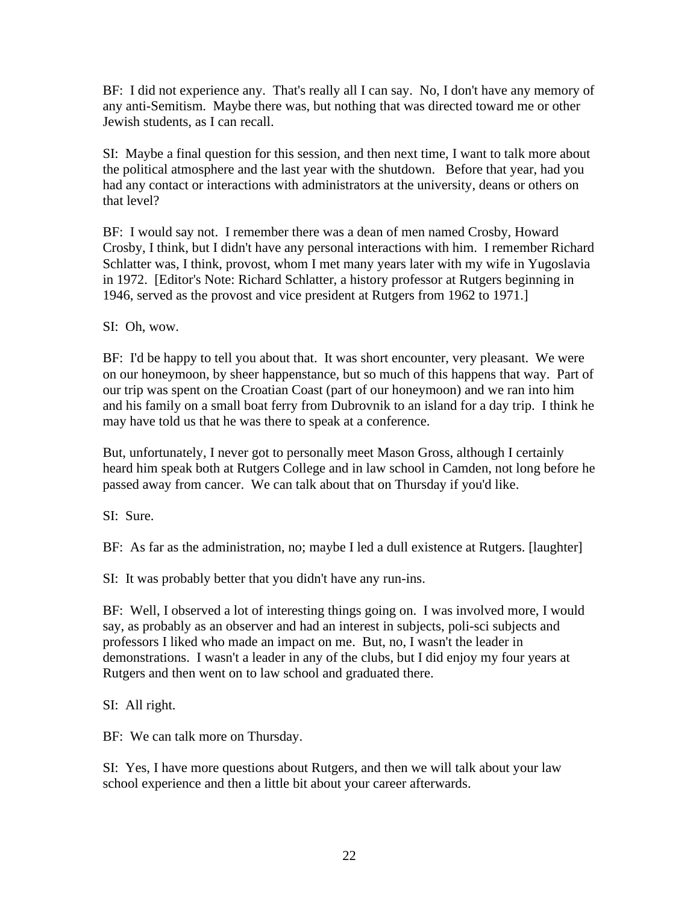BF: I did not experience any. That's really all I can say. No, I don't have any memory of any anti-Semitism. Maybe there was, but nothing that was directed toward me or other Jewish students, as I can recall.

SI: Maybe a final question for this session, and then next time, I want to talk more about the political atmosphere and the last year with the shutdown. Before that year, had you had any contact or interactions with administrators at the university, deans or others on that level?

BF: I would say not. I remember there was a dean of men named Crosby, Howard Crosby, I think, but I didn't have any personal interactions with him. I remember Richard Schlatter was, I think, provost, whom I met many years later with my wife in Yugoslavia in 1972. [Editor's Note: Richard Schlatter, a history professor at Rutgers beginning in 1946, served as the provost and vice president at Rutgers from 1962 to 1971.]

SI: Oh, wow.

BF: I'd be happy to tell you about that. It was short encounter, very pleasant. We were on our honeymoon, by sheer happenstance, but so much of this happens that way. Part of our trip was spent on the Croatian Coast (part of our honeymoon) and we ran into him and his family on a small boat ferry from Dubrovnik to an island for a day trip. I think he may have told us that he was there to speak at a conference.

But, unfortunately, I never got to personally meet Mason Gross, although I certainly heard him speak both at Rutgers College and in law school in Camden, not long before he passed away from cancer. We can talk about that on Thursday if you'd like.

SI: Sure.

BF: As far as the administration, no; maybe I led a dull existence at Rutgers. [laughter]

SI: It was probably better that you didn't have any run-ins.

BF: Well, I observed a lot of interesting things going on. I was involved more, I would say, as probably as an observer and had an interest in subjects, poli-sci subjects and professors I liked who made an impact on me. But, no, I wasn't the leader in demonstrations. I wasn't a leader in any of the clubs, but I did enjoy my four years at Rutgers and then went on to law school and graduated there.

SI: All right.

BF: We can talk more on Thursday.

SI: Yes, I have more questions about Rutgers, and then we will talk about your law school experience and then a little bit about your career afterwards.